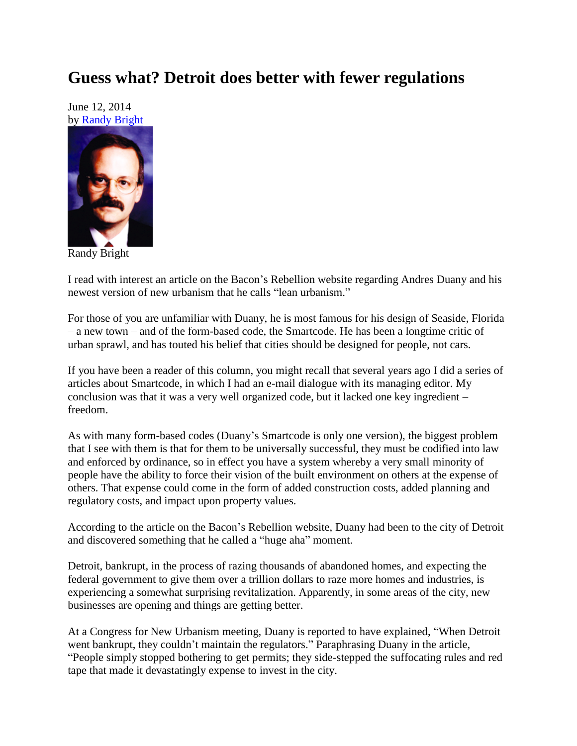## **Guess what? Detroit does better with fewer regulations**

June 12, 2014 by [Randy Bright](http://tulsabeacon.com/writers/randy-bright/)



Randy Bright

I read with interest an article on the Bacon's Rebellion website regarding Andres Duany and his newest version of new urbanism that he calls "lean urbanism."

For those of you are unfamiliar with Duany, he is most famous for his design of Seaside, Florida – a new town – and of the form-based code, the Smartcode. He has been a longtime critic of urban sprawl, and has touted his belief that cities should be designed for people, not cars.

If you have been a reader of this column, you might recall that several years ago I did a series of articles about Smartcode, in which I had an e-mail dialogue with its managing editor. My conclusion was that it was a very well organized code, but it lacked one key ingredient – freedom.

As with many form-based codes (Duany's Smartcode is only one version), the biggest problem that I see with them is that for them to be universally successful, they must be codified into law and enforced by ordinance, so in effect you have a system whereby a very small minority of people have the ability to force their vision of the built environment on others at the expense of others. That expense could come in the form of added construction costs, added planning and regulatory costs, and impact upon property values.

According to the article on the Bacon's Rebellion website, Duany had been to the city of Detroit and discovered something that he called a "huge aha" moment.

Detroit, bankrupt, in the process of razing thousands of abandoned homes, and expecting the federal government to give them over a trillion dollars to raze more homes and industries, is experiencing a somewhat surprising revitalization. Apparently, in some areas of the city, new businesses are opening and things are getting better.

At a Congress for New Urbanism meeting, Duany is reported to have explained, "When Detroit went bankrupt, they couldn't maintain the regulators." Paraphrasing Duany in the article, "People simply stopped bothering to get permits; they side-stepped the suffocating rules and red tape that made it devastatingly expense to invest in the city.